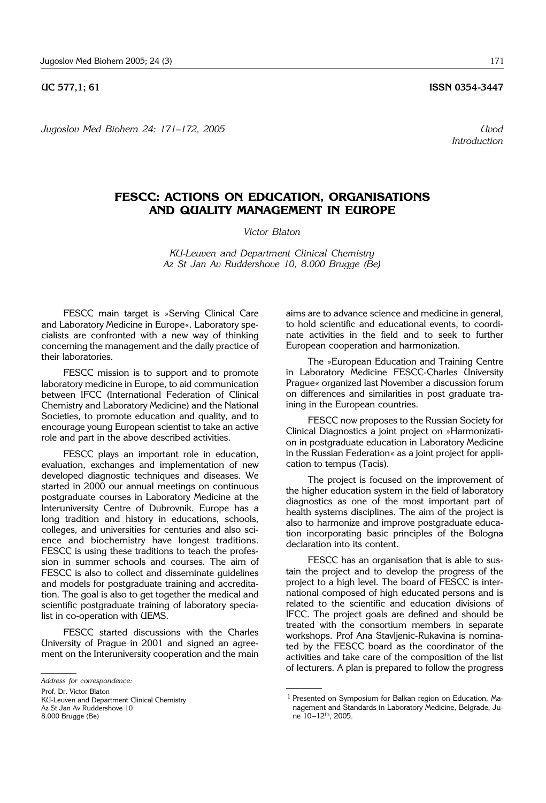**UC 577.1: 61 ISSN 0354-3447** 

*Jugoslov Med Biohem 24: 171*–*172, 2005 Uvod*

*Introduction*

## **FESCC: ACTIONS ON EDUCATION, ORGANISATIONS AND QUALITY MANAGEMENT IN EUROPE**

*Victor Blaton*

*KU*-*Leuven and Department Clinical Chemistry Az St Jan Av Ruddershove 10, 8.000 Brugge (Be)*

FESCC main target is »Serving Clinical Care and Laboratory Medicine in Europe«. Laboratory specialists are confronted with a new way of thinking concerning the management and the daily practice of their laboratories.

FESCC mission is to support and to promote laboratory medicine in Europe, to aid communication between IFCC (International Federation of Clinical Chemistry and Laboratory Medicine) and the National Societies, to promote education and quality, and to encourage young European scientist to take an active role and part in the above described activities.

FESCC plays an important role in education, evaluation, exchanges and implementation of new developed diagnostic techniques and diseases. We started in 2000 our annual meetings on continuous postgraduate courses in Laboratory Medicine at the Interuniversity Centre of Dubrovnik. Europe has a long tradition and history in educations, schools, colleges, and universities for centuries and also science and biochemistry have longest traditions. FESCC is using these traditions to teach the profession in summer schools and courses. The aim of FESCC is also to collect and disseminate guidelines and models for postgraduate training and accreditation. The goal is also to get together the medical and scientific postgraduate training of laboratory specialist in co-operation with UEMS.

FESCC started discussions with the Charles University of Prague in 2001 and signed an agreement on the Interuniversity cooperation and the main

KU-Leuven and Department Clinical Chemistry Az St Jan Av Ruddershove 10 8.000 Brugge (Be)

The »European Education and Training Centre in Laboratory Medicine FESCC-Charles University Prague« organized last November a discussion forum on differences and similarities in post graduate training in the European countries.

FESCC now proposes to the Russian Society for Clinical Diagnostics a joint project on »Harmonization in postgraduate education in Laboratory Medicine in the Russian Federation« as a joint project for application to tempus (Tacis).

The project is focused on the improvement of the higher education system in the field of laboratory diagnostics as one of the most important part of health systems disciplines. The aim of the project is also to harmonize and improve postgraduate education incorporating basic principles of the Bologna declaration into its content.

FESCC has an organisation that is able to sustain the project and to develop the progress of the project to a high level. The board of FESCC is international composed of high educated persons and is related to the scientific and education divisions of IFCC. The project goals are defined and should be treated with the consortium members in separate workshops. Prof Ana Stavljenic-Rukavina is nominated by the FESCC board as the coordinator of the activities and take care of the composition of the list of lecturers. A plan is prepared to follow the progress

*Address for correspondence:*

Prof. Dr. Victor Blaton

aims are to advance science and medicine in general, to hold scientific and educational events, to coordinate activities in the field and to seek to further European cooperation and harmonization.

<sup>1</sup> Presented on Symposium for Balkan region on Education, Management and Standards in Laboratory Medicine, Belgrade, June 10–12th, 2005.